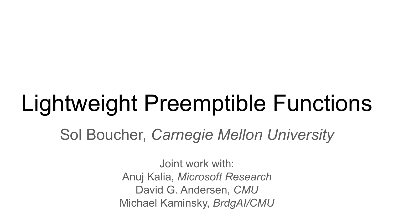## Lightweight Preemptible Functions

Sol Boucher, *Carnegie Mellon University*

Joint work with: Anuj Kalia, *Microsoft Research* David G. Andersen, *CMU* Michael Kaminsky, *BrdgAI/CMU*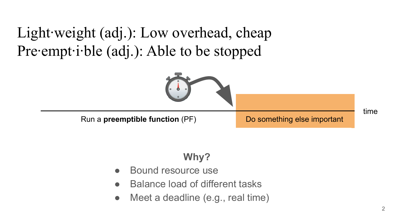Light∙weight (adj.): Low overhead, cheap Pre∙empt∙i∙ble (adj.): Able to be stopped



#### **Why?**

- Bound resource use
- **Balance load of different tasks**
- Meet a deadline (e.g., real time)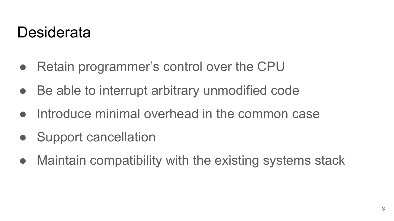#### **Desiderata**

- Retain programmer's control over the CPU
- Be able to interrupt arbitrary unmodified code
- Introduce minimal overhead in the common case
- **Support cancellation**
- Maintain compatibility with the existing systems stack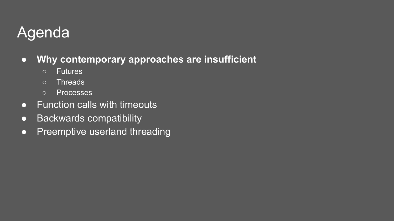### Agenda

- **● Why contemporary approaches are insufficient**
	- Futures
	- Threads
	- Processes
- **•** Function calls with timeouts
- Backwards compatibility
- Preemptive userland threading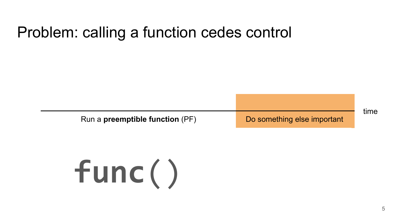#### Problem: calling a function cedes control

Run a **preemptible function** (PF) Do something else important

time

# **func**()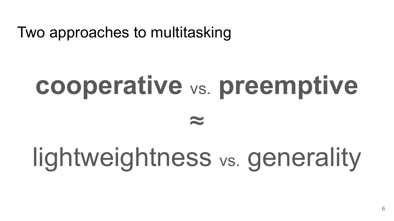Two approaches to multitasking

# **cooperative** vs. **preemptive** ≈

## lightweightness vs. generality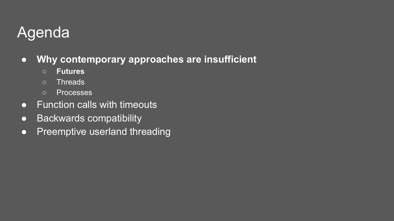### Agenda

- **● Why contemporary approaches are insufficient**
	- **○ Futures**
	- Threads
	- Processes
- $\bullet$  Function calls with timeouts
- Backwards compatibility
- Preemptive userland threading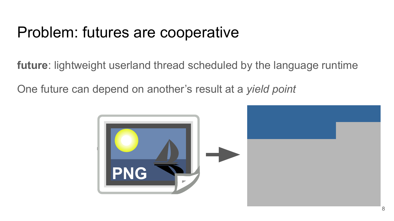#### Problem: futures are cooperative

**future**: lightweight userland thread scheduled by the language runtime

One future can depend on another's result at a *yield point*

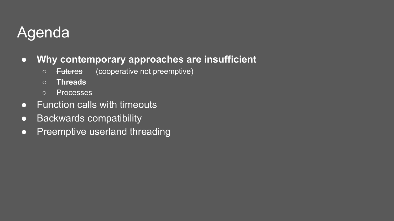### Agenda

- **● Why contemporary approaches are insufficient**
	- Futures (cooperative not preemptive)
	- **○ Threads**
	- Processes
- $\bullet$  Function calls with timeouts
- Backwards compatibility
- Preemptive userland threading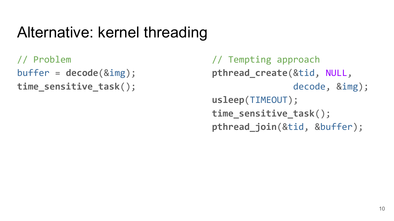#### Alternative: kernel threading

// Problem buffer = **decode**(&img); **time\_sensitive\_task**();

// Tempting approach **pthread\_create**(&tid, NULL, decode, &img); **usleep**(TIMEOUT); **time\_sensitive\_task**(); **pthread\_join**(&tid, &buffer);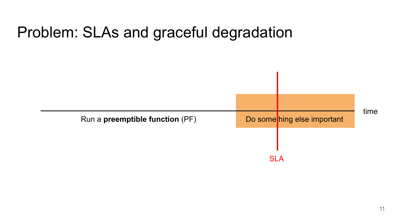

#### Problem: SLAs and graceful degradation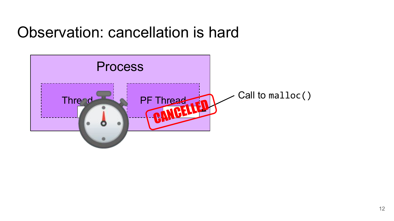#### Observation: cancellation is hard

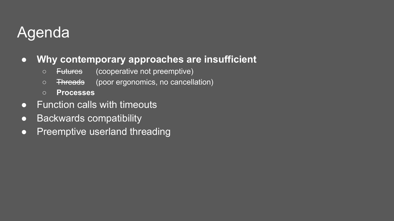### Agenda

#### **● Why contemporary approaches are insufficient**

- Futures (cooperative not preemptive)
- Threads (poor ergonomics, no cancellation)
- **○ Processes**
- $\bullet$  Function calls with timeouts
- Backwards compatibility
- Preemptive userland threading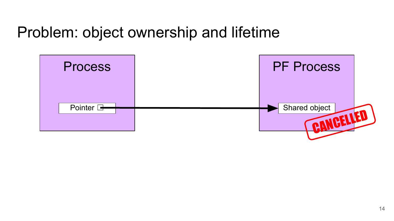#### Problem: object ownership and lifetime

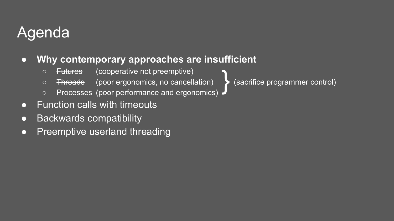### Agenda

#### ● **Why contemporary approaches are insufficient**

- Futures (cooperative not preemptive)
- Threads (poor ergonomics, no cancellation) (sacrifice programmer control)
- Processes (poor performance and ergonomics) }
- Function calls with timeouts
- Backwards compatibility
- Preemptive userland threading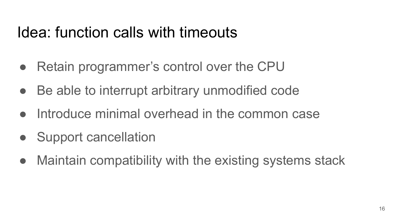#### Idea: function calls with timeouts

- Retain programmer's control over the CPU
- Be able to interrupt arbitrary unmodified code
- Introduce minimal overhead in the common case
- **Support cancellation**
- Maintain compatibility with the existing systems stack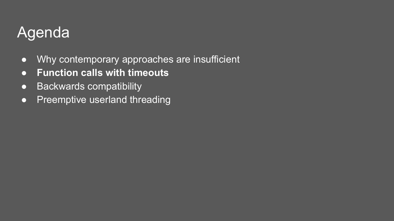#### Agenda

- Why contemporary approaches are insufficient
- **● Function calls with timeouts**
- Backwards compatibility
- Preemptive userland threading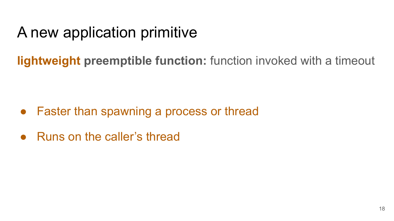### A new application primitive

- Faster than spawning a process or thread
- Runs on the caller's thread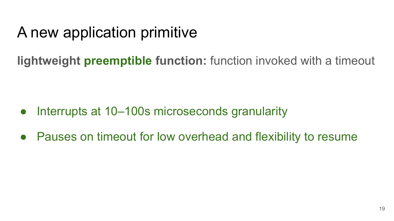### A new application primitive

- Interrupts at 10–100s microseconds granularity
- Pauses on timeout for low overhead and flexibility to resume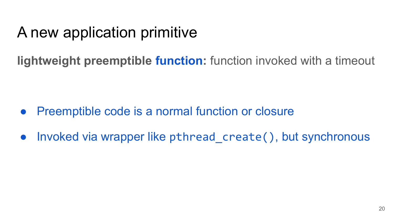### A new application primitive

- Preemptible code is a normal function or closure
- Invoked via wrapper like pthread create(), but synchronous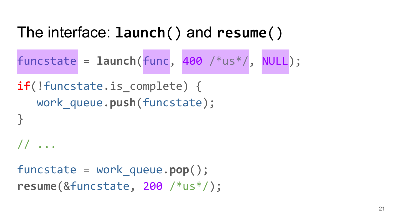#### The interface: **launch**() and **resume**()

funcstate = **launch**(func, 400 /\*us\*/, NULL);

**if**(!funcstate.is complete) { work\_queue.**push**(funcstate); }

// ...

funcstate = work\_queue.**pop**(); **resume**(&funcstate, 200 /\*us\*/);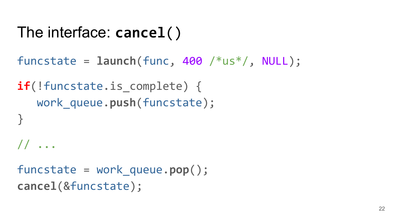```
The interface: cancel()
```

```
funcstate = launch(func, 400 /*us*/, NULL);
```

```
if(!funcstate.is complete) {
   work_queue.push(funcstate);
}
// ...
```

```
funcstate = work_queue.pop();
cancel(&funcstate);
```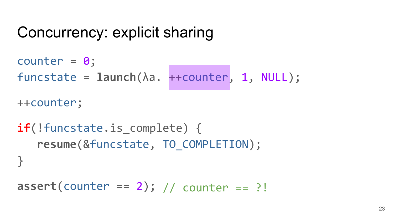#### Concurrency: explicit sharing

```
 // counter == ?!
assert(counter == 2);
counter = 0;
funcstate = launch(λa. ++counter, 1, NULL);
++counter;
if(!funcstate.is complete) {
   resume(&funcstate, TO_COMPLETION);
}
```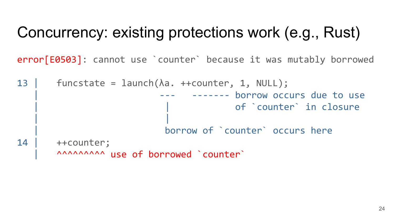#### Concurrency: existing protections work (e.g., Rust)

error[E0503]: cannot use `counter` because it was mutably borrowed

```
13 | funcstate = launch(\lambda a. ++counter, 1, NULL);
                              ------- borrow occurs due to use
                                     of `counter` in closure
 | |
                          | borrow of `counter` occurs here
14 | ++counter;
      AAAAAAAAA use of borrowed `counter`
```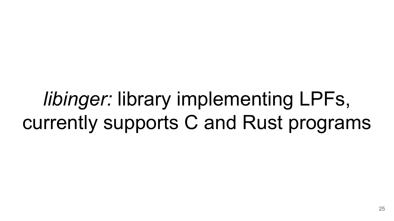## *libinger:* library implementing LPFs, currently supports C and Rust programs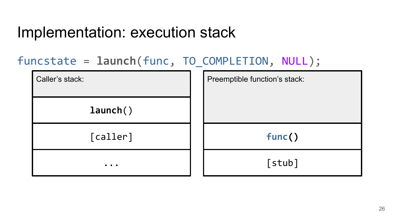#### Implementation: execution stack

#### funcstate = **launch**(func, TO\_COMPLETION, NULL);

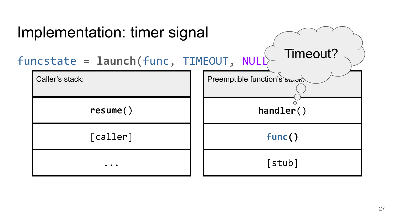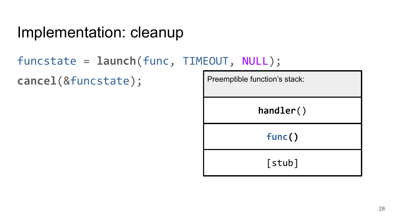#### Implementation: cleanup

#### funcstate = **launch**(func, TIMEOUT, NULL);

**cancel**(&funcstate);

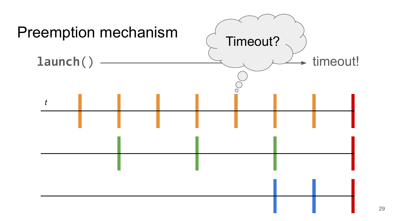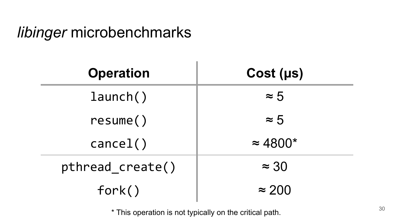#### *libinger* microbenchmarks

| <b>Operation</b> | Cost (µs)       |
|------------------|-----------------|
| $l$ aunch $()$   | $\approx 5$     |
| resume()         | $\approx 5$     |
| cancel( )        | $\approx 4800*$ |
| pthread create() | $\approx 30$    |
| fork()           | $\approx$ 200   |

\* This operation is not typically on the critical path.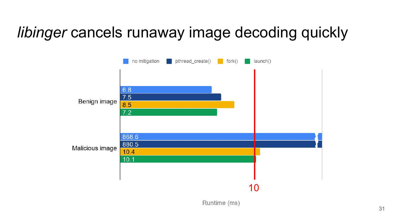#### *libinger* cancels runaway image decoding quickly



Runtime (ms)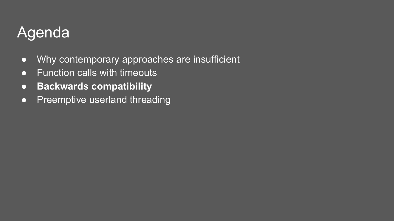#### Agenda

- Why contemporary approaches are insufficient
- **●** Function calls with timeouts
- **● Backwards compatibility**
- Preemptive userland threading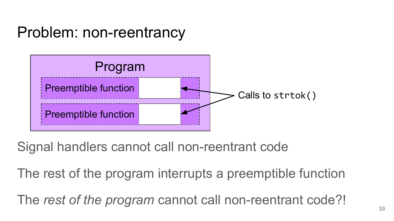#### Problem: non-reentrancy



Signal handlers cannot call non-reentrant code

The rest of the program interrupts a preemptible function

The *rest of the program* cannot call non-reentrant code?!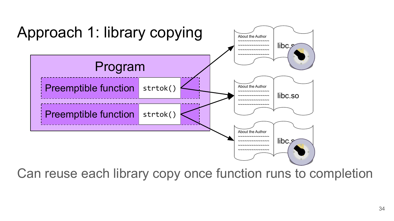

Can reuse each library copy once function runs to completion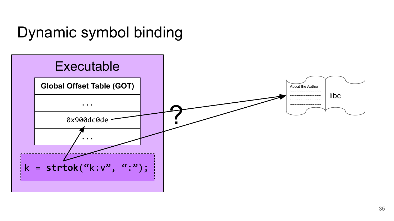#### Dynamic symbol binding

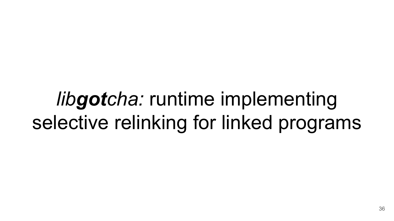## *libgotcha:* runtime implementing selective relinking for linked programs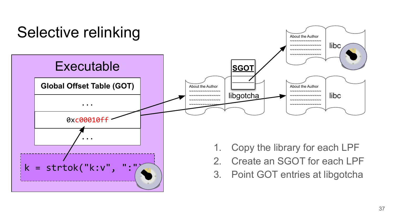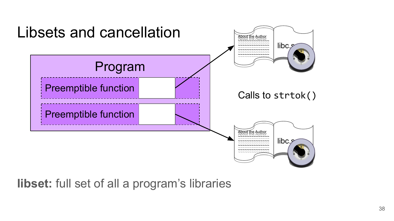

**libset:** full set of all a program's libraries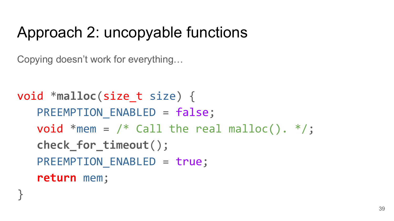### Approach 2: uncopyable functions

Copying doesn't work for everything…

}

```
void *malloc(size_t size) {
   PREEMPTION ENABLED = false;
   void *mem = /* Call the real malloc(). */;
   check_for_timeout();
   PREEMPTION ENABLED = true;
   return mem;
```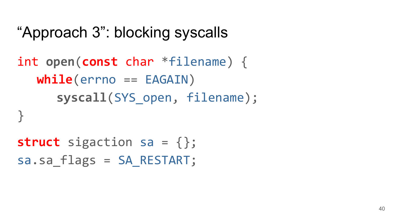#### "Approach 3": blocking syscalls

### int **open**(**const** char \*filename) { **syscall**(SYS\_open, filename); **while**(errno == EAGAIN)

```
struct sigaction sa = {};
sa.sa flags = SA RESTART;
```
}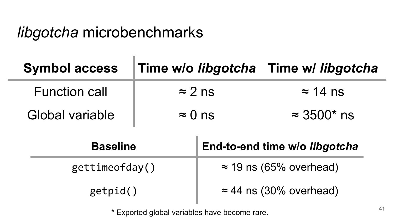#### *libgotcha* microbenchmarks

| <b>Symbol access</b>   | Time w/o libgotcha Time w/ libgotcha |                               |                                |  |
|------------------------|--------------------------------------|-------------------------------|--------------------------------|--|
| <b>Function call</b>   | $\approx$ 2 ns                       |                               | $\approx$ 14 ns                |  |
| <b>Global variable</b> | $\approx 0$ ns                       |                               | $\approx 3500^*$ ns            |  |
| <b>Baseline</b>        |                                      | End-to-end time w/o libgotcha |                                |  |
|                        |                                      |                               |                                |  |
| gettimeofday()         |                                      |                               | $\approx$ 19 ns (65% overhead) |  |

\* Exported global variables have become rare.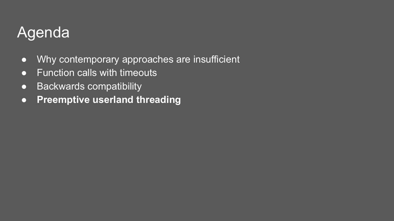#### Agenda

- Why contemporary approaches are insufficient
- Function calls with timeouts
- Backwards compatibility
- **● Preemptive userland threading**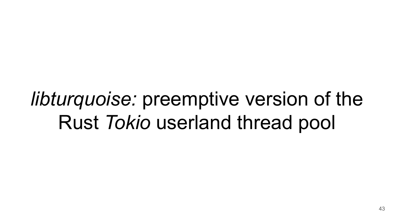*libturquoise:* preemptive version of the Rust *Tokio* userland thread pool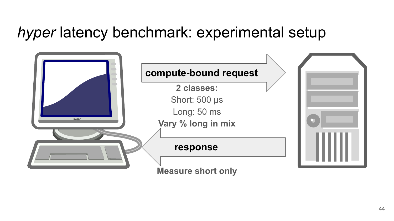#### *hyper* latency benchmark: experimental setup

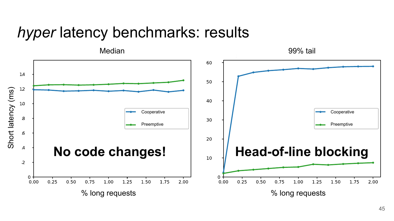#### *hyper* latency benchmarks: results

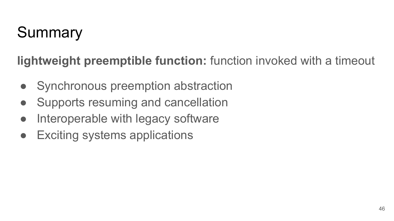### Summary

- Synchronous preemption abstraction
- Supports resuming and cancellation
- Interoperable with legacy software
- **Exciting systems applications**